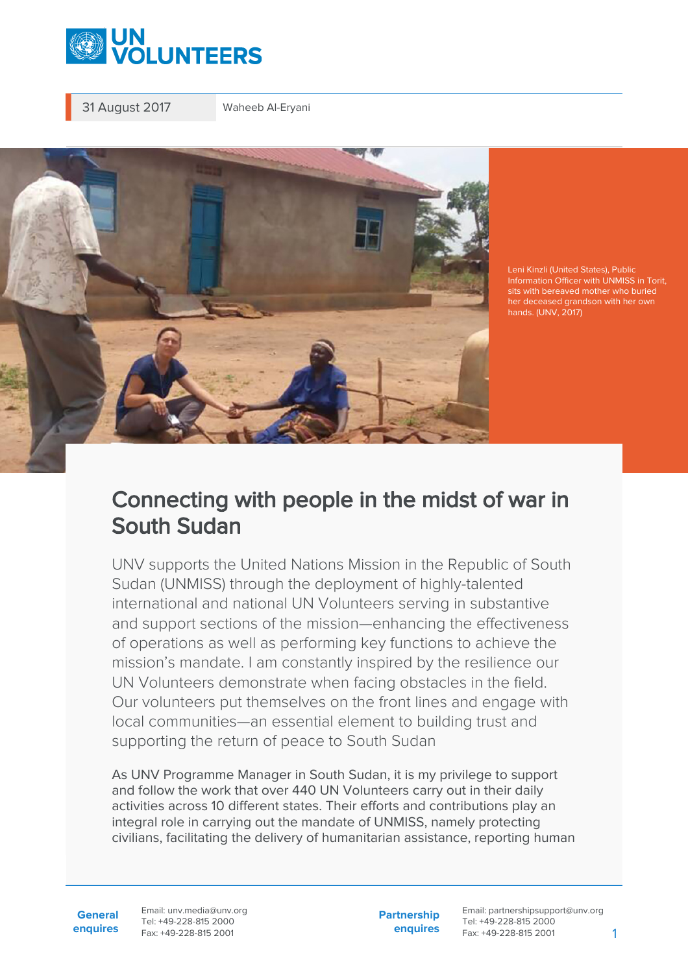

31 August 2017 Waheeb Al-Eryani



Leni Kinzli (United States), Public sits with bereaved mother who buried her deceased grandson with her own hands. (UNV, 2017)

## Connecting with people in the midst of war in South Sudan

UNV supports the United Nations Mission in the Republic of South Sudan (UNMISS) through the deployment of highly-talented international and national UN Volunteers serving in substantive and support sections of the mission—enhancing the effectiveness of operations as well as performing key functions to achieve the mission's mandate. I am constantly inspired by the resilience our UN Volunteers demonstrate when facing obstacles in the field. Our volunteers put themselves on the front lines and engage with local communities—an essential element to building trust and supporting the return of peace to South Sudan

As UNV Programme Manager in South Sudan, it is my privilege to support and follow the work that over 440 UN Volunteers carry out in their daily activities across 10 different states. Their efforts and contributions play an integral role in carrying out the mandate of UNMISS, namely protecting civilians, facilitating the delivery of humanitarian assistance, reporting human

**General enquires** Email: unv.media@unv.org Tel: +49-228-815 2000 Fax: +49-228-815 2001

**Partnership enquires** Email: partnershipsupport@unv.org Tel: +49-228-815 2000 Fax: +49-228-815 2001 1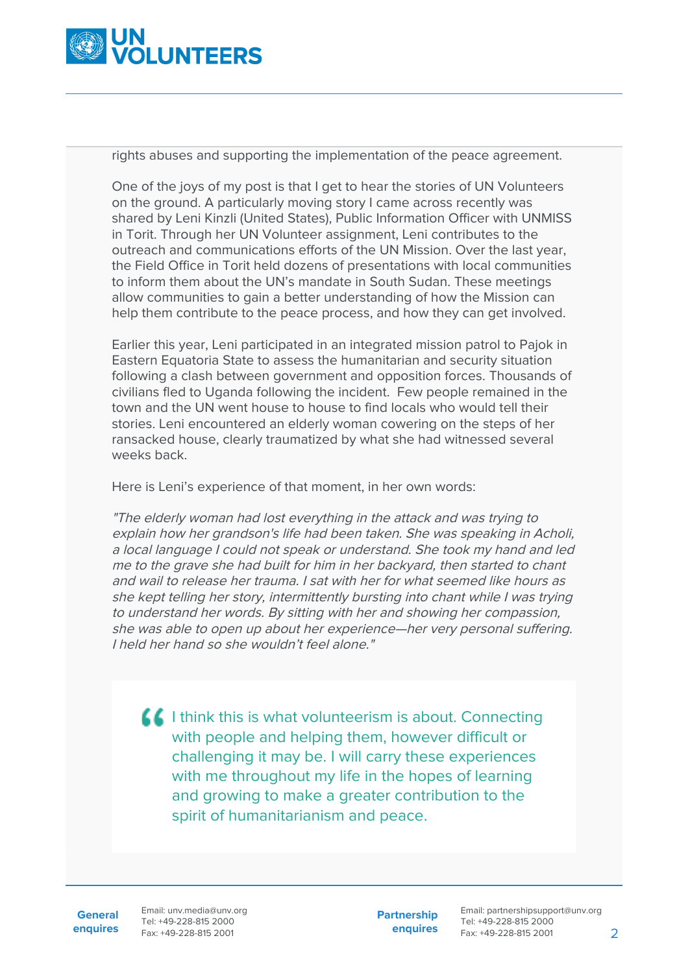

rights abuses and supporting the implementation of the peace agreement.

One of the joys of my post is that I get to hear the stories of UN Volunteers on the ground. A particularly moving story I came across recently was shared by Leni Kinzli (United States), Public Information Officer with UNMISS in Torit. Through her UN Volunteer assignment, Leni contributes to the outreach and communications efforts of the UN Mission. Over the last year, the Field Office in Torit held dozens of presentations with local communities to inform them about the UN's mandate in South Sudan. These meetings allow communities to gain a better understanding of how the Mission can help them contribute to the peace process, and how they can get involved.

Earlier this year, Leni participated in an integrated mission patrol to Pajok in Eastern Equatoria State to assess the humanitarian and security situation following a clash between government and opposition forces. Thousands of civilians fled to Uganda following the incident. Few people remained in the town and the UN went house to house to find locals who would tell their stories. Leni encountered an elderly woman cowering on the steps of her ransacked house, clearly traumatized by what she had witnessed several weeks back.

Here is Leni's experience of that moment, in her own words:

"The elderly woman had lost everything in the attack and was trying to explain how her grandson's life had been taken. She was speaking in Acholi, a local language I could not speak or understand. She took my hand and led me to the grave she had built for him in her backyard, then started to chant and wail to release her trauma. I sat with her for what seemed like hours as she kept telling her story, intermittently bursting into chant while I was trying to understand her words. By sitting with her and showing her compassion, she was able to open up about her experience—her very personal suffering. I held her hand so she wouldn't feel alone."

 $\blacksquare$  I think this is what volunteerism is about. Connecting with people and helping them, however difficult or challenging it may be. I will carry these experiences with me throughout my life in the hopes of learning and growing to make a greater contribution to the spirit of humanitarianism and peace.

**General enquires**

Email: unv.media@unv.org Tel: +49-228-815 2000 Fax: +49-228-815 2001

**Partnership enquires** Email: partnershipsupport@unv.org Tel: +49-228-815 2000 Fax: +49-228-815 2001 2